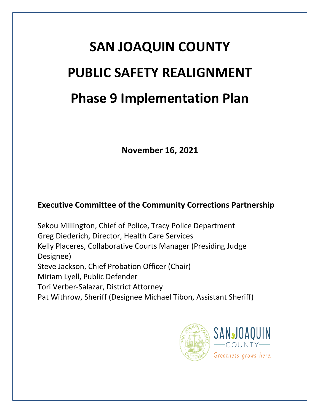# **SAN JOAQUIN COUNTY PUBLIC SAFETY REALIGNMENT Phase 9 Implementation Plan**

**November 16, 2021**

# **Executive Committee of the Community Corrections Partnership**

Sekou Millington, Chief of Police, Tracy Police Department Greg Diederich, Director, Health Care Services Kelly Placeres, Collaborative Courts Manager (Presiding Judge Designee) Steve Jackson, Chief Probation Officer (Chair) Miriam Lyell, Public Defender Tori Verber-Salazar, District Attorney Pat Withrow, Sheriff (Designee Michael Tibon, Assistant Sheriff)

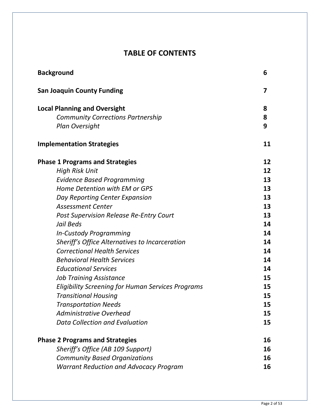# **TABLE OF CONTENTS**

| <b>Background</b>                                 | 6  |
|---------------------------------------------------|----|
| <b>San Joaquin County Funding</b>                 | 7  |
| <b>Local Planning and Oversight</b>               | 8  |
| <b>Community Corrections Partnership</b>          | 8  |
| <b>Plan Oversight</b>                             | 9  |
| <b>Implementation Strategies</b>                  | 11 |
| <b>Phase 1 Programs and Strategies</b>            | 12 |
| <b>High Risk Unit</b>                             | 12 |
| <b>Evidence Based Programming</b>                 | 13 |
| Home Detention with EM or GPS                     | 13 |
| Day Reporting Center Expansion                    | 13 |
| <b>Assessment Center</b>                          | 13 |
| <b>Post Supervision Release Re-Entry Court</b>    | 13 |
| Jail Beds                                         | 14 |
| <b>In-Custody Programming</b>                     | 14 |
| Sheriff's Office Alternatives to Incarceration    | 14 |
| <b>Correctional Health Services</b>               | 14 |
| <b>Behavioral Health Services</b>                 | 14 |
| <b>Educational Services</b>                       | 14 |
| <b>Job Training Assistance</b>                    | 15 |
| Eligibility Screening for Human Services Programs | 15 |
| <b>Transitional Housing</b>                       | 15 |
| <b>Transportation Needs</b>                       | 15 |
| <b>Administrative Overhead</b>                    | 15 |
| <b>Data Collection and Evaluation</b>             | 15 |
| <b>Phase 2 Programs and Strategies</b>            | 16 |
| Sheriff's Office (AB 109 Support)                 | 16 |
| <b>Community Based Organizations</b>              | 16 |
| <b>Warrant Reduction and Advocacy Program</b>     | 16 |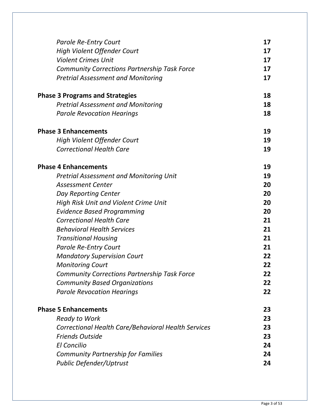| <b>Parole Re-Entry Court</b>                        | 17 |
|-----------------------------------------------------|----|
| <b>High Violent Offender Court</b>                  | 17 |
| <b>Violent Crimes Unit</b>                          | 17 |
| <b>Community Corrections Partnership Task Force</b> | 17 |
| <b>Pretrial Assessment and Monitoring</b>           | 17 |
| <b>Phase 3 Programs and Strategies</b>              | 18 |
| <b>Pretrial Assessment and Monitoring</b>           | 18 |
| <b>Parole Revocation Hearings</b>                   | 18 |
| <b>Phase 3 Enhancements</b>                         | 19 |
| <b>High Violent Offender Court</b>                  | 19 |
| <b>Correctional Health Care</b>                     | 19 |
| <b>Phase 4 Enhancements</b>                         | 19 |
| <b>Pretrial Assessment and Monitoring Unit</b>      | 19 |
| <b>Assessment Center</b>                            | 20 |
| Day Reporting Center                                | 20 |
| High Risk Unit and Violent Crime Unit               | 20 |
| <b>Evidence Based Programming</b>                   | 20 |
| <b>Correctional Health Care</b>                     | 21 |
| <b>Behavioral Health Services</b>                   | 21 |
| <b>Transitional Housing</b>                         | 21 |
| <b>Parole Re-Entry Court</b>                        | 21 |
| <b>Mandatory Supervision Court</b>                  | 22 |
| <b>Monitoring Court</b>                             | 22 |
| <b>Community Corrections Partnership Task Force</b> | 22 |
| <b>Community Based Organizations</b>                | 22 |
| <b>Parole Revocation Hearings</b>                   | 22 |
| <b>Phase 5 Enhancements</b>                         | 23 |
| <b>Ready to Work</b>                                | 23 |
| Correctional Health Care/Behavioral Health Services | 23 |
| <b>Friends Outside</b>                              | 23 |
| <b>El Concilio</b>                                  | 24 |
| <b>Community Partnership for Families</b>           | 24 |
| <b>Public Defender/Uptrust</b>                      | 24 |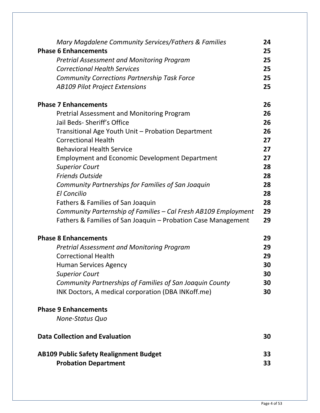| Mary Magdalene Community Services/Fathers & Families                         | 24       |
|------------------------------------------------------------------------------|----------|
| <b>Phase 6 Enhancements</b>                                                  | 25       |
| <b>Pretrial Assessment and Monitoring Program</b>                            | 25       |
| <b>Correctional Health Services</b>                                          | 25       |
| <b>Community Corrections Partnership Task Force</b>                          | 25<br>25 |
| <b>AB109 Pilot Project Extensions</b>                                        |          |
| <b>Phase 7 Enhancements</b>                                                  | 26       |
| Pretrial Assessment and Monitoring Program                                   | 26       |
| Jail Beds-Sheriff's Office                                                   | 26       |
| Transitional Age Youth Unit - Probation Department                           | 26       |
| <b>Correctional Health</b>                                                   | 27       |
| <b>Behavioral Health Service</b>                                             | 27       |
| <b>Employment and Economic Development Department</b>                        | 27       |
| <b>Superior Court</b>                                                        | 28       |
| <b>Friends Outside</b>                                                       | 28       |
| Community Partnerships for Families of San Joaquin                           | 28       |
| <b>El Concilio</b>                                                           | 28       |
| Fathers & Families of San Joaquin                                            | 28       |
| Community Parternship of Families - Cal Fresh AB109 Employment               | 29       |
| Fathers & Families of San Joaquin - Probation Case Management                | 29       |
| <b>Phase 8 Enhancements</b>                                                  | 29       |
| <b>Pretrial Assessment and Monitoring Program</b>                            | 29       |
| <b>Correctional Health</b>                                                   | 29       |
| <b>Human Services Agency</b>                                                 | 30       |
| <b>Superior Court</b>                                                        | 30       |
| Community Partnerships of Families of San Joaquin County                     | 30       |
| INK Doctors, A medical corporation (DBA INKoff.me)                           | 30       |
| <b>Phase 9 Enhancements</b>                                                  |          |
| None-Status Quo                                                              |          |
| <b>Data Collection and Evaluation</b>                                        | 30       |
| <b>AB109 Public Safety Realignment Budget</b><br><b>Probation Department</b> | 33<br>33 |
|                                                                              |          |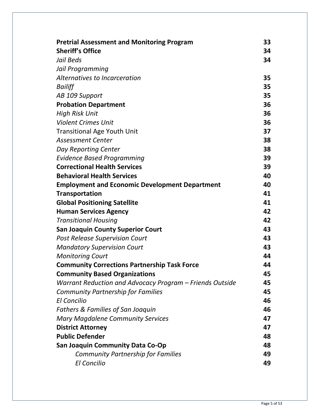| <b>Pretrial Assessment and Monitoring Program</b>        | 33 |
|----------------------------------------------------------|----|
| <b>Sheriff's Office</b>                                  | 34 |
| Jail Beds                                                | 34 |
| Jail Programming                                         |    |
| Alternatives to Incarceration                            | 35 |
| Bailiff                                                  | 35 |
| AB 109 Support                                           | 35 |
| <b>Probation Department</b>                              | 36 |
| <b>High Risk Unit</b>                                    | 36 |
| <b>Violent Crimes Unit</b>                               | 36 |
| <b>Transitional Age Youth Unit</b>                       | 37 |
| <b>Assessment Center</b>                                 | 38 |
| Day Reporting Center                                     | 38 |
| <b>Evidence Based Programming</b>                        | 39 |
| <b>Correctional Health Services</b>                      | 39 |
| <b>Behavioral Health Services</b>                        | 40 |
| <b>Employment and Economic Development Department</b>    | 40 |
| <b>Transportation</b>                                    | 41 |
| <b>Global Positioning Satellite</b>                      | 41 |
| <b>Human Services Agency</b>                             | 42 |
| <b>Transitional Housing</b>                              | 42 |
| <b>San Joaquin County Superior Court</b>                 | 43 |
| <b>Post Release Supervision Court</b>                    | 43 |
| <b>Mandatory Supervision Court</b>                       | 43 |
| <b>Monitoring Court</b>                                  | 44 |
| <b>Community Corrections Partnership Task Force</b>      | 44 |
| <b>Community Based Organizations</b>                     | 45 |
| Warrant Reduction and Advocacy Program – Friends Outside | 45 |
| <b>Community Partnership for Families</b>                | 45 |
| <b>El Concilio</b>                                       | 46 |
| <b>Fathers &amp; Families of San Joaquin</b>             | 46 |
| <b>Mary Magdalene Community Services</b>                 | 47 |
| <b>District Attorney</b>                                 | 47 |
| <b>Public Defender</b>                                   | 48 |
| <b>San Joaquin Community Data Co-Op</b>                  | 48 |
| <b>Community Partnership for Families</b>                | 49 |
| <b>El Concilio</b>                                       | 49 |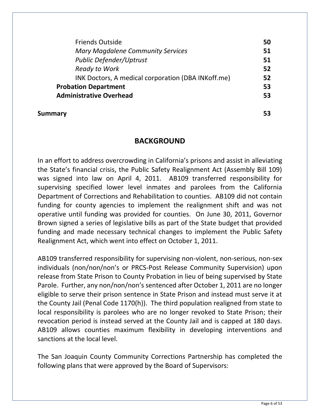| <b>Friends Outside</b>                              | 50 |
|-----------------------------------------------------|----|
| <b>Mary Magdalene Community Services</b>            | 51 |
| <b>Public Defender/Uptrust</b>                      | 51 |
| <b>Ready to Work</b>                                | 52 |
| INK Doctors, A medical corporation (DBA INK off.me) | 52 |
| <b>Probation Department</b>                         | 53 |
| <b>Administrative Overhead</b>                      | 53 |

#### **Summary 53**

### **BACKGROUND**

In an effort to address overcrowding in California's prisons and assist in alleviating the State's financial crisis, the Public Safety Realignment Act (Assembly Bill 109) was signed into law on April 4, 2011. AB109 transferred responsibility for supervising specified lower level inmates and parolees from the California Department of Corrections and Rehabilitation to counties. AB109 did not contain funding for county agencies to implement the realignment shift and was not operative until funding was provided for counties. On June 30, 2011, Governor Brown signed a series of legislative bills as part of the State budget that provided funding and made necessary technical changes to implement the Public Safety Realignment Act, which went into effect on October 1, 2011.

AB109 transferred responsibility for supervising non-violent, non-serious, non-sex individuals (non/non/non's or PRCS-Post Release Community Supervision) upon release from State Prison to County Probation in lieu of being supervised by State Parole. Further, any non/non/non's sentenced after October 1, 2011 are no longer eligible to serve their prison sentence in State Prison and instead must serve it at the County Jail (Penal Code 1170(h)). The third population realigned from state to local responsibility is parolees who are no longer revoked to State Prison; their revocation period is instead served at the County Jail and is capped at 180 days. AB109 allows counties maximum flexibility in developing interventions and sanctions at the local level.

The San Joaquin County Community Corrections Partnership has completed the following plans that were approved by the Board of Supervisors: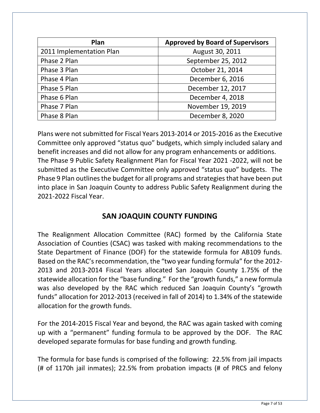| Plan                     | <b>Approved by Board of Supervisors</b> |
|--------------------------|-----------------------------------------|
| 2011 Implementation Plan | August 30, 2011                         |
| Phase 2 Plan             | September 25, 2012                      |
| Phase 3 Plan             | October 21, 2014                        |
| Phase 4 Plan             | December 6, 2016                        |
| Phase 5 Plan             | December 12, 2017                       |
| Phase 6 Plan             | December 4, 2018                        |
| Phase 7 Plan             | November 19, 2019                       |
| Phase 8 Plan             | December 8, 2020                        |

Plans were not submitted for Fiscal Years 2013-2014 or 2015-2016 as the Executive Committee only approved "status quo" budgets, which simply included salary and benefit increases and did not allow for any program enhancements or additions. The Phase 9 Public Safety Realignment Plan for Fiscal Year 2021 -2022, will not be submitted as the Executive Committee only approved "status quo" budgets. The Phase 9 Plan outlines the budget for all programs and strategies that have been put into place in San Joaquin County to address Public Safety Realignment during the 2021-2022 Fiscal Year.

# **SAN JOAQUIN COUNTY FUNDING**

The Realignment Allocation Committee (RAC) formed by the California State Association of Counties (CSAC) was tasked with making recommendations to the State Department of Finance (DOF) for the statewide formula for AB109 funds. Based on the RAC's recommendation, the "two year funding formula" for the 2012- 2013 and 2013-2014 Fiscal Years allocated San Joaquin County 1.75% of the statewide allocation for the "base funding." For the "growth funds," a new formula was also developed by the RAC which reduced San Joaquin County's "growth funds" allocation for 2012-2013 (received in fall of 2014) to 1.34% of the statewide allocation for the growth funds.

For the 2014-2015 Fiscal Year and beyond, the RAC was again tasked with coming up with a "permanent" funding formula to be approved by the DOF. The RAC developed separate formulas for base funding and growth funding.

The formula for base funds is comprised of the following: 22.5% from jail impacts (# of 1170h jail inmates); 22.5% from probation impacts (# of PRCS and felony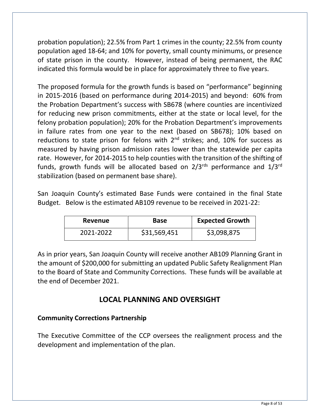probation population); 22.5% from Part 1 crimes in the county; 22.5% from county population aged 18-64; and 10% for poverty, small county minimums, or presence of state prison in the county. However, instead of being permanent, the RAC indicated this formula would be in place for approximately three to five years.

The proposed formula for the growth funds is based on "performance" beginning in 2015-2016 (based on performance during 2014-2015) and beyond: 60% from the Probation Department's success with SB678 (where counties are incentivized for reducing new prison commitments, either at the state or local level, for the felony probation population); 20% for the Probation Department's improvements in failure rates from one year to the next (based on SB678); 10% based on reductions to state prison for felons with  $2<sup>nd</sup>$  strikes; and, 10% for success as measured by having prison admission rates lower than the statewide per capita rate. However, for 2014-2015 to help counties with the transition of the shifting of funds, growth funds will be allocated based on  $2/3^{rds}$  performance and  $1/3^{rd}$ stabilization (based on permanent base share).

San Joaquin County's estimated Base Funds were contained in the final State Budget. Below is the estimated AB109 revenue to be received in 2021-22:

| Revenue   | Base         | <b>Expected Growth</b> |
|-----------|--------------|------------------------|
| 2021-2022 | \$31,569,451 | \$3,098,875            |

As in prior years, San Joaquin County will receive another AB109 Planning Grant in the amount of \$200,000 for submitting an updated Public Safety Realignment Plan to the Board of State and Community Corrections. These funds will be available at the end of December 2021.

### **LOCAL PLANNING AND OVERSIGHT**

#### **Community Corrections Partnership**

The Executive Committee of the CCP oversees the realignment process and the development and implementation of the plan.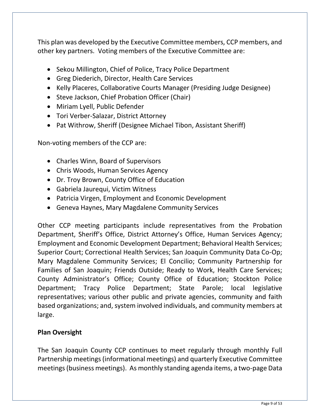This plan was developed by the Executive Committee members, CCP members, and other key partners. Voting members of the Executive Committee are:

- Sekou Millington, Chief of Police, Tracy Police Department
- Greg Diederich, Director, Health Care Services
- Kelly Placeres, Collaborative Courts Manager (Presiding Judge Designee)
- Steve Jackson, Chief Probation Officer (Chair)
- Miriam Lyell, Public Defender
- Tori Verber-Salazar, District Attorney
- Pat Withrow, Sheriff (Designee Michael Tibon, Assistant Sheriff)

Non-voting members of the CCP are:

- Charles Winn, Board of Supervisors
- Chris Woods, Human Services Agency
- Dr. Troy Brown, County Office of Education
- Gabriela Jaurequi, Victim Witness
- Patricia Virgen, Employment and Economic Development
- Geneva Haynes, Mary Magdalene Community Services

Other CCP meeting participants include representatives from the Probation Department, Sheriff's Office, District Attorney's Office, Human Services Agency; Employment and Economic Development Department; Behavioral Health Services; Superior Court; Correctional Health Services; San Joaquin Community Data Co-Op; Mary Magdalene Community Services; El Concilio; Community Partnership for Families of San Joaquin; Friends Outside; Ready to Work, Health Care Services; County Administrator's Office; County Office of Education; Stockton Police Department; Tracy Police Department; State Parole; local legislative representatives; various other public and private agencies, community and faith based organizations; and, system involved individuals, and community members at large.

#### **Plan Oversight**

The San Joaquin County CCP continues to meet regularly through monthly Full Partnership meetings (informational meetings) and quarterly Executive Committee meetings (business meetings). As monthly standing agenda items, a two-page Data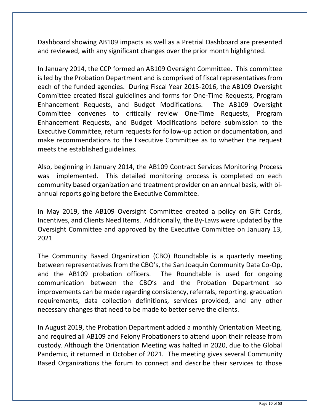Dashboard showing AB109 impacts as well as a Pretrial Dashboard are presented and reviewed, with any significant changes over the prior month highlighted.

In January 2014, the CCP formed an AB109 Oversight Committee. This committee is led by the Probation Department and is comprised of fiscal representatives from each of the funded agencies. During Fiscal Year 2015-2016, the AB109 Oversight Committee created fiscal guidelines and forms for One-Time Requests, Program Enhancement Requests, and Budget Modifications. The AB109 Oversight Committee convenes to critically review One-Time Requests, Program Enhancement Requests, and Budget Modifications before submission to the Executive Committee, return requests for follow-up action or documentation, and make recommendations to the Executive Committee as to whether the request meets the established guidelines.

Also, beginning in January 2014, the AB109 Contract Services Monitoring Process was implemented. This detailed monitoring process is completed on each community based organization and treatment provider on an annual basis, with biannual reports going before the Executive Committee.

In May 2019, the AB109 Oversight Committee created a policy on Gift Cards, Incentives, and Clients Need Items. Additionally, the By-Laws were updated by the Oversight Committee and approved by the Executive Committee on January 13, 2021

The Community Based Organization (CBO) Roundtable is a quarterly meeting between representatives from the CBO's, the San Joaquin Community Data Co-Op, and the AB109 probation officers. The Roundtable is used for ongoing communication between the CBO's and the Probation Department so improvements can be made regarding consistency, referrals, reporting, graduation requirements, data collection definitions, services provided, and any other necessary changes that need to be made to better serve the clients.

In August 2019, the Probation Department added a monthly Orientation Meeting, and required all AB109 and Felony Probationers to attend upon their release from custody. Although the Orientation Meeting was halted in 2020, due to the Global Pandemic, it returned in October of 2021. The meeting gives several Community Based Organizations the forum to connect and describe their services to those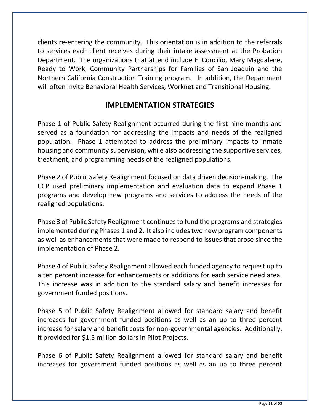clients re-entering the community. This orientation is in addition to the referrals to services each client receives during their intake assessment at the Probation Department. The organizations that attend include El Concilio, Mary Magdalene, Ready to Work, Community Partnerships for Families of San Joaquin and the Northern California Construction Training program. In addition, the Department will often invite Behavioral Health Services, Worknet and Transitional Housing.

### **IMPLEMENTATION STRATEGIES**

Phase 1 of Public Safety Realignment occurred during the first nine months and served as a foundation for addressing the impacts and needs of the realigned population. Phase 1 attempted to address the preliminary impacts to inmate housing and community supervision, while also addressing the supportive services, treatment, and programming needs of the realigned populations.

Phase 2 of Public Safety Realignment focused on data driven decision-making. The CCP used preliminary implementation and evaluation data to expand Phase 1 programs and develop new programs and services to address the needs of the realigned populations.

Phase 3 of Public Safety Realignment continues to fund the programs and strategies implemented during Phases 1 and 2. It also includes two new program components as well as enhancements that were made to respond to issues that arose since the implementation of Phase 2.

Phase 4 of Public Safety Realignment allowed each funded agency to request up to a ten percent increase for enhancements or additions for each service need area. This increase was in addition to the standard salary and benefit increases for government funded positions.

Phase 5 of Public Safety Realignment allowed for standard salary and benefit increases for government funded positions as well as an up to three percent increase for salary and benefit costs for non-governmental agencies. Additionally, it provided for \$1.5 million dollars in Pilot Projects.

Phase 6 of Public Safety Realignment allowed for standard salary and benefit increases for government funded positions as well as an up to three percent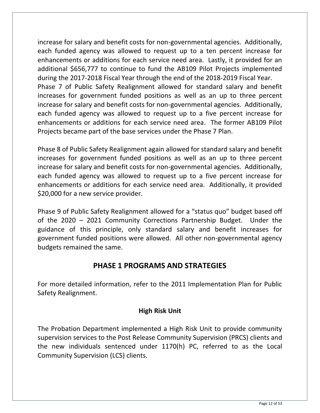increase for salary and benefit costs for non-governmental agencies. Additionally, each funded agency was allowed to request up to a ten percent increase for enhancements or additions for each service need area. Lastly, it provided for an additional \$656,777 to continue to fund the AB109 Pilot Projects implemented during the 2017-2018 Fiscal Year through the end of the 2018-2019 Fiscal Year. Phase 7 of Public Safety Realignment allowed for standard salary and benefit increases for government funded positions as well as an up to three percent increase for salary and benefit costs for non-governmental agencies. Additionally, each funded agency was allowed to request up to a five percent increase for enhancements or additions for each service need area. The former AB109 Pilot Projects became part of the base services under the Phase 7 Plan.

Phase 8 of Public Safety Realignment again allowed for standard salary and benefit increases for government funded positions as well as an up to three percent increase for salary and benefit costs for non-governmental agencies. Additionally, each funded agency was allowed to request up to a five percent increase for enhancements or additions for each service need area. Additionally, it provided \$20,000 for a new service provider.

Phase 9 of Public Safety Realignment allowed for a "status quo" budget based off of the 2020 – 2021 Community Corrections Partnership Budget. Under the guidance of this principle, only standard salary and benefit increases for government funded positions were allowed. All other non-governmental agency budgets remained the same.

# **PHASE 1 PROGRAMS AND STRATEGIES**

For more detailed information, refer to the 2011 Implementation Plan for Public Safety Realignment.

#### **High Risk Unit**

The Probation Department implemented a High Risk Unit to provide community supervision services to the Post Release Community Supervision (PRCS) clients and the new individuals sentenced under 1170(h) PC, referred to as the Local Community Supervision (LCS) clients.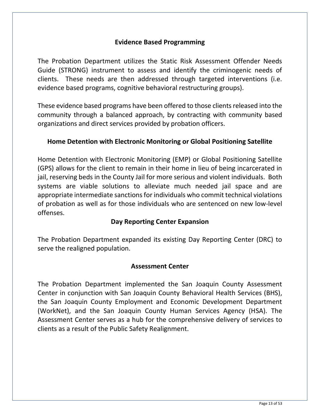#### **Evidence Based Programming**

The Probation Department utilizes the Static Risk Assessment Offender Needs Guide (STRONG) instrument to assess and identify the criminogenic needs of clients. These needs are then addressed through targeted interventions (i.e. evidence based programs, cognitive behavioral restructuring groups).

These evidence based programs have been offered to those clients released into the community through a balanced approach, by contracting with community based organizations and direct services provided by probation officers.

#### **Home Detention with Electronic Monitoring or Global Positioning Satellite**

Home Detention with Electronic Monitoring (EMP) or Global Positioning Satellite (GPS) allows for the client to remain in their home in lieu of being incarcerated in jail, reserving beds in the County Jail for more serious and violent individuals. Both systems are viable solutions to alleviate much needed jail space and are appropriate intermediate sanctions for individuals who commit technical violations of probation as well as for those individuals who are sentenced on new low-level offenses.

#### **Day Reporting Center Expansion**

The Probation Department expanded its existing Day Reporting Center (DRC) to serve the realigned population.

#### **Assessment Center**

The Probation Department implemented the San Joaquin County Assessment Center in conjunction with San Joaquin County Behavioral Health Services (BHS), the San Joaquin County Employment and Economic Development Department (WorkNet), and the San Joaquin County Human Services Agency (HSA). The Assessment Center serves as a hub for the comprehensive delivery of services to clients as a result of the Public Safety Realignment.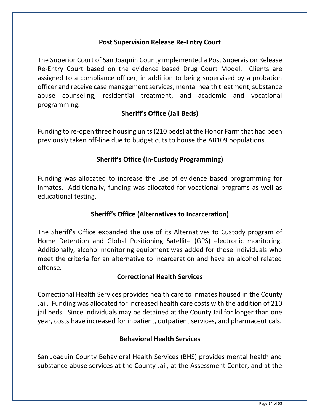#### **Post Supervision Release Re-Entry Court**

The Superior Court of San Joaquin County implemented a Post Supervision Release Re-Entry Court based on the evidence based Drug Court Model. Clients are assigned to a compliance officer, in addition to being supervised by a probation officer and receive case management services, mental health treatment, substance abuse counseling, residential treatment, and academic and vocational programming.

#### **Sheriff's Office (Jail Beds)**

Funding to re-open three housing units(210 beds) at the Honor Farm that had been previously taken off-line due to budget cuts to house the AB109 populations.

#### **Sheriff's Office (In-Custody Programming)**

Funding was allocated to increase the use of evidence based programming for inmates. Additionally, funding was allocated for vocational programs as well as educational testing.

#### **Sheriff's Office (Alternatives to Incarceration)**

The Sheriff's Office expanded the use of its Alternatives to Custody program of Home Detention and Global Positioning Satellite (GPS) electronic monitoring. Additionally, alcohol monitoring equipment was added for those individuals who meet the criteria for an alternative to incarceration and have an alcohol related offense.

#### **Correctional Health Services**

Correctional Health Services provides health care to inmates housed in the County Jail. Funding was allocated for increased health care costs with the addition of 210 jail beds. Since individuals may be detained at the County Jail for longer than one year, costs have increased for inpatient, outpatient services, and pharmaceuticals.

#### **Behavioral Health Services**

San Joaquin County Behavioral Health Services (BHS) provides mental health and substance abuse services at the County Jail, at the Assessment Center, and at the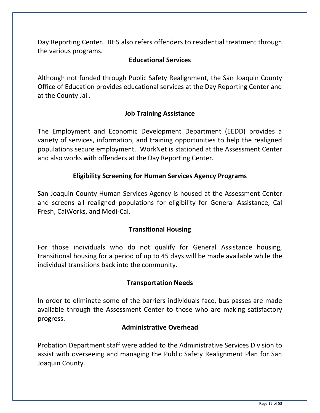Day Reporting Center. BHS also refers offenders to residential treatment through the various programs.

#### **Educational Services**

Although not funded through Public Safety Realignment, the San Joaquin County Office of Education provides educational services at the Day Reporting Center and at the County Jail.

#### **Job Training Assistance**

The Employment and Economic Development Department (EEDD) provides a variety of services, information, and training opportunities to help the realigned populations secure employment. WorkNet is stationed at the Assessment Center and also works with offenders at the Day Reporting Center.

#### **Eligibility Screening for Human Services Agency Programs**

San Joaquin County Human Services Agency is housed at the Assessment Center and screens all realigned populations for eligibility for General Assistance, Cal Fresh, CalWorks, and Medi-Cal.

#### **Transitional Housing**

For those individuals who do not qualify for General Assistance housing, transitional housing for a period of up to 45 days will be made available while the individual transitions back into the community.

#### **Transportation Needs**

In order to eliminate some of the barriers individuals face, bus passes are made available through the Assessment Center to those who are making satisfactory progress.

#### **Administrative Overhead**

Probation Department staff were added to the Administrative Services Division to assist with overseeing and managing the Public Safety Realignment Plan for San Joaquin County.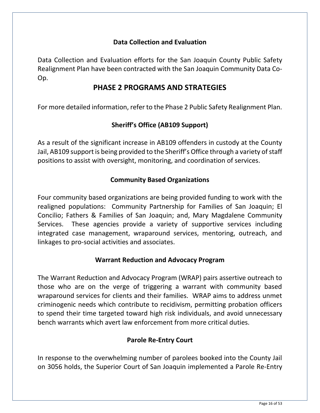#### **Data Collection and Evaluation**

Data Collection and Evaluation efforts for the San Joaquin County Public Safety Realignment Plan have been contracted with the San Joaquin Community Data Co-Op.

### **PHASE 2 PROGRAMS AND STRATEGIES**

For more detailed information, refer to the Phase 2 Public Safety Realignment Plan.

### **Sheriff's Office (AB109 Support)**

As a result of the significant increase in AB109 offenders in custody at the County Jail, AB109 support is being provided to the Sheriff's Office through a variety of staff positions to assist with oversight, monitoring, and coordination of services.

### **Community Based Organizations**

Four community based organizations are being provided funding to work with the realigned populations: Community Partnership for Families of San Joaquin; El Concilio; Fathers & Families of San Joaquin; and, Mary Magdalene Community Services. These agencies provide a variety of supportive services including integrated case management, wraparound services, mentoring, outreach, and linkages to pro-social activities and associates.

#### **Warrant Reduction and Advocacy Program**

The Warrant Reduction and Advocacy Program (WRAP) pairs assertive outreach to those who are on the verge of triggering a warrant with community based wraparound services for clients and their families. WRAP aims to address unmet criminogenic needs which contribute to recidivism, permitting probation officers to spend their time targeted toward high risk individuals, and avoid unnecessary bench warrants which avert law enforcement from more critical duties.

#### **Parole Re-Entry Court**

In response to the overwhelming number of parolees booked into the County Jail on 3056 holds, the Superior Court of San Joaquin implemented a Parole Re-Entry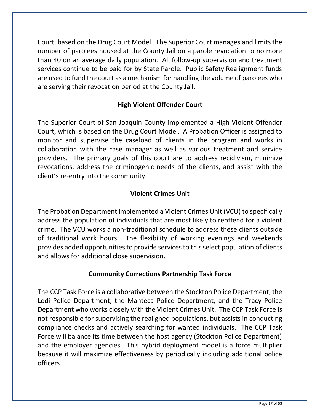Court, based on the Drug Court Model. The Superior Court manages and limits the number of parolees housed at the County Jail on a parole revocation to no more than 40 on an average daily population. All follow-up supervision and treatment services continue to be paid for by State Parole. Public Safety Realignment funds are used to fund the court as a mechanism for handling the volume of parolees who are serving their revocation period at the County Jail.

### **High Violent Offender Court**

The Superior Court of San Joaquin County implemented a High Violent Offender Court, which is based on the Drug Court Model. A Probation Officer is assigned to monitor and supervise the caseload of clients in the program and works in collaboration with the case manager as well as various treatment and service providers. The primary goals of this court are to address recidivism, minimize revocations, address the criminogenic needs of the clients, and assist with the client's re-entry into the community.

### **Violent Crimes Unit**

The Probation Department implemented a Violent Crimes Unit (VCU) to specifically address the population of individuals that are most likely to reoffend for a violent crime. The VCU works a non-traditional schedule to address these clients outside of traditional work hours. The flexibility of working evenings and weekends provides added opportunities to provide services to this select population of clients and allows for additional close supervision.

#### **Community Corrections Partnership Task Force**

The CCP Task Force is a collaborative between the Stockton Police Department, the Lodi Police Department, the Manteca Police Department, and the Tracy Police Department who works closely with the Violent Crimes Unit. The CCP Task Force is not responsible for supervising the realigned populations, but assists in conducting compliance checks and actively searching for wanted individuals. The CCP Task Force will balance its time between the host agency (Stockton Police Department) and the employer agencies. This hybrid deployment model is a force multiplier because it will maximize effectiveness by periodically including additional police officers.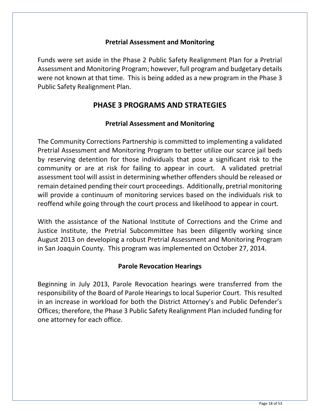#### **Pretrial Assessment and Monitoring**

Funds were set aside in the Phase 2 Public Safety Realignment Plan for a Pretrial Assessment and Monitoring Program; however, full program and budgetary details were not known at that time. This is being added as a new program in the Phase 3 Public Safety Realignment Plan.

# **PHASE 3 PROGRAMS AND STRATEGIES**

#### **Pretrial Assessment and Monitoring**

The Community Corrections Partnership is committed to implementing a validated Pretrial Assessment and Monitoring Program to better utilize our scarce jail beds by reserving detention for those individuals that pose a significant risk to the community or are at risk for failing to appear in court. A validated pretrial assessment tool will assist in determining whether offenders should be released or remain detained pending their court proceedings. Additionally, pretrial monitoring will provide a continuum of monitoring services based on the individuals risk to reoffend while going through the court process and likelihood to appear in court.

With the assistance of the National Institute of Corrections and the Crime and Justice Institute, the Pretrial Subcommittee has been diligently working since August 2013 on developing a robust Pretrial Assessment and Monitoring Program in San Joaquin County. This program was implemented on October 27, 2014.

#### **Parole Revocation Hearings**

Beginning in July 2013, Parole Revocation hearings were transferred from the responsibility of the Board of Parole Hearings to local Superior Court. This resulted in an increase in workload for both the District Attorney's and Public Defender's Offices; therefore, the Phase 3 Public Safety Realignment Plan included funding for one attorney for each office.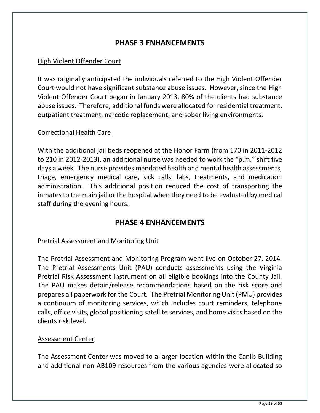### **PHASE 3 ENHANCEMENTS**

#### High Violent Offender Court

It was originally anticipated the individuals referred to the High Violent Offender Court would not have significant substance abuse issues. However, since the High Violent Offender Court began in January 2013, 80% of the clients had substance abuse issues. Therefore, additional funds were allocated for residential treatment, outpatient treatment, narcotic replacement, and sober living environments.

#### Correctional Health Care

With the additional jail beds reopened at the Honor Farm (from 170 in 2011-2012 to 210 in 2012-2013), an additional nurse was needed to work the "p.m." shift five days a week. The nurse provides mandated health and mental health assessments, triage, emergency medical care, sick calls, labs, treatments, and medication administration. This additional position reduced the cost of transporting the inmates to the main jail or the hospital when they need to be evaluated by medical staff during the evening hours.

#### **PHASE 4 ENHANCEMENTS**

#### Pretrial Assessment and Monitoring Unit

The Pretrial Assessment and Monitoring Program went live on October 27, 2014. The Pretrial Assessments Unit (PAU) conducts assessments using the Virginia Pretrial Risk Assessment Instrument on all eligible bookings into the County Jail. The PAU makes detain/release recommendations based on the risk score and prepares all paperwork for the Court. The Pretrial Monitoring Unit (PMU) provides a continuum of monitoring services, which includes court reminders, telephone calls, office visits, global positioning satellite services, and home visits based on the clients risk level.

#### Assessment Center

The Assessment Center was moved to a larger location within the Canlis Building and additional non-AB109 resources from the various agencies were allocated so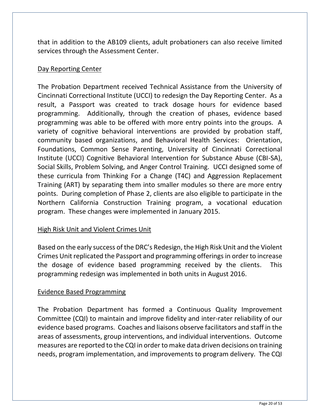that in addition to the AB109 clients, adult probationers can also receive limited services through the Assessment Center.

#### Day Reporting Center

The Probation Department received Technical Assistance from the University of Cincinnati Correctional Institute (UCCI) to redesign the Day Reporting Center. As a result, a Passport was created to track dosage hours for evidence based programming. Additionally, through the creation of phases, evidence based programming was able to be offered with more entry points into the groups. A variety of cognitive behavioral interventions are provided by probation staff, community based organizations, and Behavioral Health Services: Orientation, Foundations, Common Sense Parenting, University of Cincinnati Correctional Institute (UCCI) Cognitive Behavioral Intervention for Substance Abuse (CBI-SA), Social Skills, Problem Solving, and Anger Control Training. UCCI designed some of these curricula from Thinking For a Change (T4C) and Aggression Replacement Training (ART) by separating them into smaller modules so there are more entry points. During completion of Phase 2, clients are also eligible to participate in the Northern California Construction Training program, a vocational education program. These changes were implemented in January 2015.

#### High Risk Unit and Violent Crimes Unit

Based on the early success of the DRC's Redesign, the High Risk Unit and the Violent Crimes Unit replicated the Passport and programming offerings in order to increase the dosage of evidence based programming received by the clients. This programming redesign was implemented in both units in August 2016.

#### Evidence Based Programming

The Probation Department has formed a Continuous Quality Improvement Committee (CQI) to maintain and improve fidelity and inter-rater reliability of our evidence based programs. Coaches and liaisons observe facilitators and staff in the areas of assessments, group interventions, and individual interventions. Outcome measures are reported to the CQI in order to make data driven decisions on training needs, program implementation, and improvements to program delivery. The CQI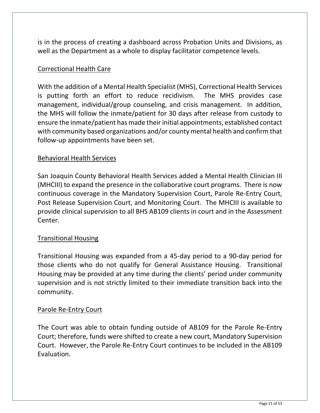is in the process of creating a dashboard across Probation Units and Divisions, as well as the Department as a whole to display facilitator competence levels.

#### Correctional Health Care

With the addition of a Mental Health Specialist (MHS), Correctional Health Services is putting forth an effort to reduce recidivism. The MHS provides case management, individual/group counseling, and crisis management. In addition, the MHS will follow the inmate/patient for 30 days after release from custody to ensure the inmate/patient has made their initial appointments, established contact with community based organizations and/or county mental health and confirm that follow-up appointments have been set.

#### Behavioral Health Services

San Joaquin County Behavioral Health Services added a Mental Health Clinician III (MHCIII) to expand the presence in the collaborative court programs. There is now continuous coverage in the Mandatory Supervision Court, Parole Re-Entry Court, Post Release Supervision Court, and Monitoring Court. The MHCIII is available to provide clinical supervision to all BHS AB109 clients in court and in the Assessment Center.

#### Transitional Housing

Transitional Housing was expanded from a 45-day period to a 90-day period for those clients who do not qualify for General Assistance Housing. Transitional Housing may be provided at any time during the clients' period under community supervision and is not strictly limited to their immediate transition back into the community.

#### Parole Re-Entry Court

The Court was able to obtain funding outside of AB109 for the Parole Re-Entry Court; therefore, funds were shifted to create a new court, Mandatory Supervision Court. However, the Parole Re-Entry Court continues to be included in the AB109 Evaluation.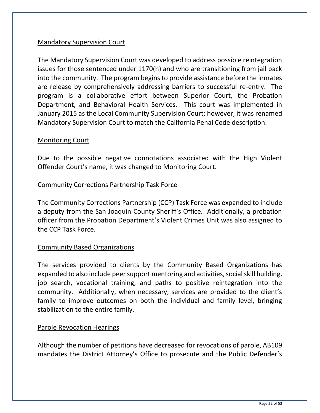#### Mandatory Supervision Court

The Mandatory Supervision Court was developed to address possible reintegration issues for those sentenced under 1170(h) and who are transitioning from jail back into the community. The program begins to provide assistance before the inmates are release by comprehensively addressing barriers to successful re-entry. The program is a collaborative effort between Superior Court, the Probation Department, and Behavioral Health Services. This court was implemented in January 2015 as the Local Community Supervision Court; however, it was renamed Mandatory Supervision Court to match the California Penal Code description.

#### Monitoring Court

Due to the possible negative connotations associated with the High Violent Offender Court's name, it was changed to Monitoring Court.

#### Community Corrections Partnership Task Force

The Community Corrections Partnership (CCP) Task Force was expanded to include a deputy from the San Joaquin County Sheriff's Office. Additionally, a probation officer from the Probation Department's Violent Crimes Unit was also assigned to the CCP Task Force.

#### Community Based Organizations

The services provided to clients by the Community Based Organizations has expanded to also include peer support mentoring and activities, social skill building, job search, vocational training, and paths to positive reintegration into the community. Additionally, when necessary, services are provided to the client's family to improve outcomes on both the individual and family level, bringing stabilization to the entire family.

#### Parole Revocation Hearings

Although the number of petitions have decreased for revocations of parole, AB109 mandates the District Attorney's Office to prosecute and the Public Defender's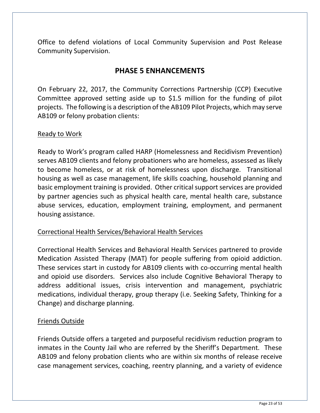Office to defend violations of Local Community Supervision and Post Release Community Supervision.

# **PHASE 5 ENHANCEMENTS**

On February 22, 2017, the Community Corrections Partnership (CCP) Executive Committee approved setting aside up to \$1.5 million for the funding of pilot projects. The following is a description of the AB109 Pilot Projects, which may serve AB109 or felony probation clients:

#### Ready to Work

Ready to Work's program called HARP (Homelessness and Recidivism Prevention) serves AB109 clients and felony probationers who are homeless, assessed as likely to become homeless, or at risk of homelessness upon discharge. Transitional housing as well as case management, life skills coaching, household planning and basic employment training is provided. Other critical support services are provided by partner agencies such as physical health care, mental health care, substance abuse services, education, employment training, employment, and permanent housing assistance.

#### Correctional Health Services/Behavioral Health Services

Correctional Health Services and Behavioral Health Services partnered to provide Medication Assisted Therapy (MAT) for people suffering from opioid addiction. These services start in custody for AB109 clients with co-occurring mental health and opioid use disorders. Services also include Cognitive Behavioral Therapy to address additional issues, crisis intervention and management, psychiatric medications, individual therapy, group therapy (i.e. Seeking Safety, Thinking for a Change) and discharge planning.

#### Friends Outside

Friends Outside offers a targeted and purposeful recidivism reduction program to inmates in the County Jail who are referred by the Sheriff's Department. These AB109 and felony probation clients who are within six months of release receive case management services, coaching, reentry planning, and a variety of evidence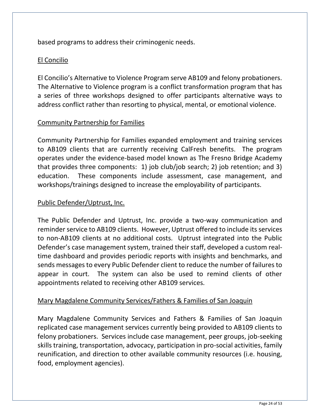based programs to address their criminogenic needs.

### El Concilio

El Concilio's Alternative to Violence Program serve AB109 and felony probationers. The Alternative to Violence program is a conflict transformation program that has a series of three workshops designed to offer participants alternative ways to address conflict rather than resorting to physical, mental, or emotional violence.

### Community Partnership for Families

Community Partnership for Families expanded employment and training services to AB109 clients that are currently receiving CalFresh benefits. The program operates under the evidence-based model known as The Fresno Bridge Academy that provides three components: 1) job club/job search; 2) job retention; and 3) education. These components include assessment, case management, and workshops/trainings designed to increase the employability of participants.

#### Public Defender/Uptrust, Inc.

The Public Defender and Uptrust, Inc. provide a two-way communication and reminder service to AB109 clients. However, Uptrust offered to include its services to non-AB109 clients at no additional costs. Uptrust integrated into the Public Defender's case management system, trained their staff, developed a custom realtime dashboard and provides periodic reports with insights and benchmarks, and sends messages to every Public Defender client to reduce the number of failures to appear in court. The system can also be used to remind clients of other appointments related to receiving other AB109 services.

#### Mary Magdalene Community Services/Fathers & Families of San Joaquin

Mary Magdalene Community Services and Fathers & Families of San Joaquin replicated case management services currently being provided to AB109 clients to felony probationers. Services include case management, peer groups, job-seeking skills training, transportation, advocacy, participation in pro-social activities, family reunification, and direction to other available community resources (i.e. housing, food, employment agencies).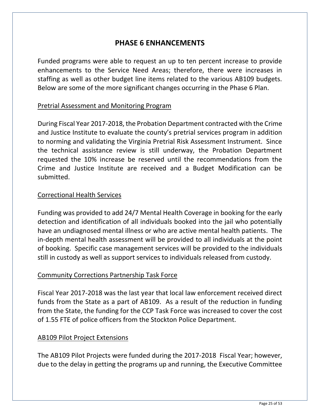### **PHASE 6 ENHANCEMENTS**

Funded programs were able to request an up to ten percent increase to provide enhancements to the Service Need Areas; therefore, there were increases in staffing as well as other budget line items related to the various AB109 budgets. Below are some of the more significant changes occurring in the Phase 6 Plan.

#### Pretrial Assessment and Monitoring Program

During Fiscal Year 2017-2018, the Probation Department contracted with the Crime and Justice Institute to evaluate the county's pretrial services program in addition to norming and validating the Virginia Pretrial Risk Assessment Instrument. Since the technical assistance review is still underway, the Probation Department requested the 10% increase be reserved until the recommendations from the Crime and Justice Institute are received and a Budget Modification can be submitted.

#### Correctional Health Services

Funding was provided to add 24/7 Mental Health Coverage in booking for the early detection and identification of all individuals booked into the jail who potentially have an undiagnosed mental illness or who are active mental health patients. The in-depth mental health assessment will be provided to all individuals at the point of booking. Specific case management services will be provided to the individuals still in custody as well as support services to individuals released from custody.

#### Community Corrections Partnership Task Force

Fiscal Year 2017-2018 was the last year that local law enforcement received direct funds from the State as a part of AB109. As a result of the reduction in funding from the State, the funding for the CCP Task Force was increased to cover the cost of 1.55 FTE of police officers from the Stockton Police Department.

#### AB109 Pilot Project Extensions

The AB109 Pilot Projects were funded during the 2017-2018 Fiscal Year; however, due to the delay in getting the programs up and running, the Executive Committee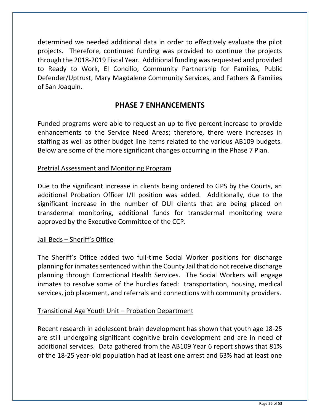determined we needed additional data in order to effectively evaluate the pilot projects. Therefore, continued funding was provided to continue the projects through the 2018-2019 Fiscal Year. Additional funding was requested and provided to Ready to Work, El Concilio, Community Partnership for Families, Public Defender/Uptrust, Mary Magdalene Community Services, and Fathers & Families of San Joaquin.

### **PHASE 7 ENHANCEMENTS**

Funded programs were able to request an up to five percent increase to provide enhancements to the Service Need Areas; therefore, there were increases in staffing as well as other budget line items related to the various AB109 budgets. Below are some of the more significant changes occurring in the Phase 7 Plan.

#### Pretrial Assessment and Monitoring Program

Due to the significant increase in clients being ordered to GPS by the Courts, an additional Probation Officer I/II position was added. Additionally, due to the significant increase in the number of DUI clients that are being placed on transdermal monitoring, additional funds for transdermal monitoring were approved by the Executive Committee of the CCP.

#### Jail Beds - Sheriff's Office

The Sheriff's Office added two full-time Social Worker positions for discharge planning for inmates sentenced within the County Jail that do not receive discharge planning through Correctional Health Services. The Social Workers will engage inmates to resolve some of the hurdles faced: transportation, housing, medical services, job placement, and referrals and connections with community providers.

#### Transitional Age Youth Unit – Probation Department

Recent research in adolescent brain development has shown that youth age 18-25 are still undergoing significant cognitive brain development and are in need of additional services. Data gathered from the AB109 Year 6 report shows that 81% of the 18-25 year-old population had at least one arrest and 63% had at least one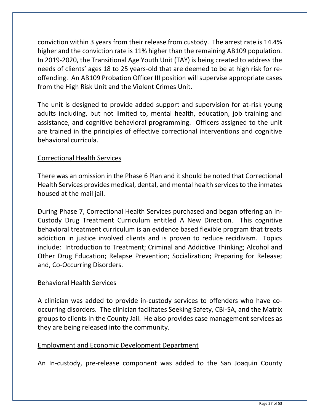conviction within 3 years from their release from custody. The arrest rate is 14.4% higher and the conviction rate is 11% higher than the remaining AB109 population. In 2019-2020, the Transitional Age Youth Unit (TAY) is being created to address the needs of clients' ages 18 to 25 years-old that are deemed to be at high risk for reoffending. An AB109 Probation Officer III position will supervise appropriate cases from the High Risk Unit and the Violent Crimes Unit.

The unit is designed to provide added support and supervision for at-risk young adults including, but not limited to, mental health, education, job training and assistance, and cognitive behavioral programming. Officers assigned to the unit are trained in the principles of effective correctional interventions and cognitive behavioral curricula.

#### Correctional Health Services

There was an omission in the Phase 6 Plan and it should be noted that Correctional Health Services provides medical, dental, and mental health services to the inmates housed at the mail jail.

During Phase 7, Correctional Health Services purchased and began offering an In-Custody Drug Treatment Curriculum entitled A New Direction. This cognitive behavioral treatment curriculum is an evidence based flexible program that treats addiction in justice involved clients and is proven to reduce recidivism. Topics include: Introduction to Treatment; Criminal and Addictive Thinking; Alcohol and Other Drug Education; Relapse Prevention; Socialization; Preparing for Release; and, Co-Occurring Disorders.

#### Behavioral Health Services

A clinician was added to provide in-custody services to offenders who have cooccurring disorders. The clinician facilitates Seeking Safety, CBI-SA, and the Matrix groups to clients in the County Jail. He also provides case management services as they are being released into the community.

#### Employment and Economic Development Department

An In-custody, pre-release component was added to the San Joaquin County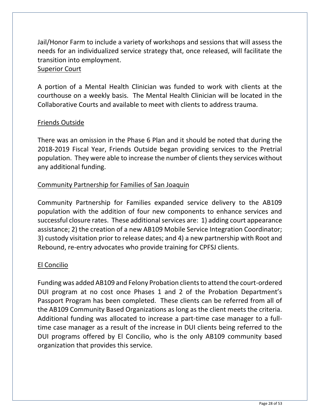Jail/Honor Farm to include a variety of workshops and sessions that will assess the needs for an individualized service strategy that, once released, will facilitate the transition into employment.

#### Superior Court

A portion of a Mental Health Clinician was funded to work with clients at the courthouse on a weekly basis. The Mental Health Clinician will be located in the Collaborative Courts and available to meet with clients to address trauma.

#### Friends Outside

There was an omission in the Phase 6 Plan and it should be noted that during the 2018-2019 Fiscal Year, Friends Outside began providing services to the Pretrial population. They were able to increase the number of clients they services without any additional funding.

#### Community Partnership for Families of San Joaquin

Community Partnership for Families expanded service delivery to the AB109 population with the addition of four new components to enhance services and successful closure rates. These additional services are: 1) adding court appearance assistance; 2) the creation of a new AB109 Mobile Service Integration Coordinator; 3) custody visitation prior to release dates; and 4) a new partnership with Root and Rebound, re-entry advocates who provide training for CPFSJ clients.

### El Concilio

Funding was added AB109 and Felony Probation clients to attend the court-ordered DUI program at no cost once Phases 1 and 2 of the Probation Department's Passport Program has been completed. These clients can be referred from all of the AB109 Community Based Organizations as long as the client meets the criteria. Additional funding was allocated to increase a part-time case manager to a fulltime case manager as a result of the increase in DUI clients being referred to the DUI programs offered by El Concilio, who is the only AB109 community based organization that provides this service.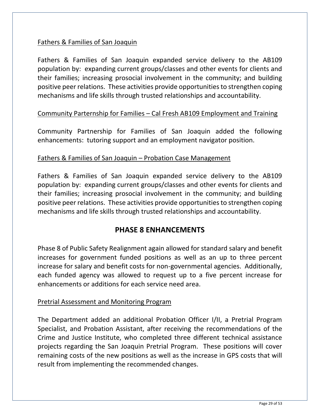#### Fathers & Families of San Joaquin

Fathers & Families of San Joaquin expanded service delivery to the AB109 population by: expanding current groups/classes and other events for clients and their families; increasing prosocial involvement in the community; and building positive peer relations. These activities provide opportunities to strengthen coping mechanisms and life skills through trusted relationships and accountability.

#### Community Parternship for Families – Cal Fresh AB109 Employment and Training

Community Partnership for Families of San Joaquin added the following enhancements: tutoring support and an employment navigator position.

#### Fathers & Families of San Joaquin – Probation Case Management

Fathers & Families of San Joaquin expanded service delivery to the AB109 population by: expanding current groups/classes and other events for clients and their families; increasing prosocial involvement in the community; and building positive peer relations. These activities provide opportunities to strengthen coping mechanisms and life skills through trusted relationships and accountability.

### **PHASE 8 ENHANCEMENTS**

Phase 8 of Public Safety Realignment again allowed for standard salary and benefit increases for government funded positions as well as an up to three percent increase for salary and benefit costs for non-governmental agencies. Additionally, each funded agency was allowed to request up to a five percent increase for enhancements or additions for each service need area.

#### Pretrial Assessment and Monitoring Program

The Department added an additional Probation Officer I/II, a Pretrial Program Specialist, and Probation Assistant, after receiving the recommendations of the Crime and Justice Institute, who completed three different technical assistance projects regarding the San Joaquin Pretrial Program. These positions will cover remaining costs of the new positions as well as the increase in GPS costs that will result from implementing the recommended changes.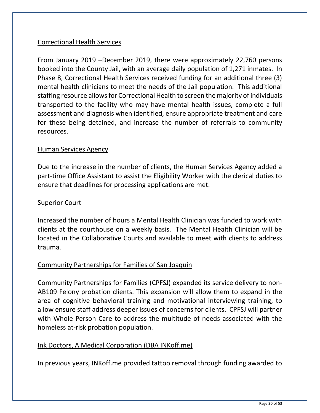### Correctional Health Services

From January 2019 –December 2019, there were approximately 22,760 persons booked into the County Jail, with an average daily population of 1,271 inmates. In Phase 8, Correctional Health Services received funding for an additional three (3) mental health clinicians to meet the needs of the Jail population. This additional staffing resource allows for Correctional Health to screen the majority of individuals transported to the facility who may have mental health issues, complete a full assessment and diagnosis when identified, ensure appropriate treatment and care for these being detained, and increase the number of referrals to community resources.

#### Human Services Agency

Due to the increase in the number of clients, the Human Services Agency added a part-time Office Assistant to assist the Eligibility Worker with the clerical duties to ensure that deadlines for processing applications are met.

#### Superior Court

Increased the number of hours a Mental Health Clinician was funded to work with clients at the courthouse on a weekly basis. The Mental Health Clinician will be located in the Collaborative Courts and available to meet with clients to address trauma.

#### Community Partnerships for Families of San Joaquin

Community Partnerships for Families (CPFSJ) expanded its service delivery to non-AB109 Felony probation clients. This expansion will allow them to expand in the area of cognitive behavioral training and motivational interviewing training, to allow ensure staff address deeper issues of concerns for clients. CPFSJ will partner with Whole Person Care to address the multitude of needs associated with the homeless at-risk probation population.

#### Ink Doctors, A Medical Corporation (DBA INKoff.me)

In previous years, INKoff.me provided tattoo removal through funding awarded to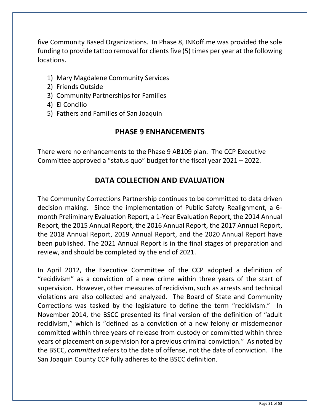five Community Based Organizations. In Phase 8, INKoff.me was provided the sole funding to provide tattoo removal for clients five (5) times per year at the following locations.

- 1) Mary Magdalene Community Services
- 2) Friends Outside
- 3) Community Partnerships for Families
- 4) El Concilio
- 5) Fathers and Families of San Joaquin

### **PHASE 9 ENHANCEMENTS**

There were no enhancements to the Phase 9 AB109 plan. The CCP Executive Committee approved a "status quo" budget for the fiscal year 2021 – 2022.

# **DATA COLLECTION AND EVALUATION**

The Community Corrections Partnership continues to be committed to data driven decision making. Since the implementation of Public Safety Realignment, a 6 month Preliminary Evaluation Report, a 1-Year Evaluation Report, the 2014 Annual Report, the 2015 Annual Report, the 2016 Annual Report, the 2017 Annual Report, the 2018 Annual Report, 2019 Annual Report, and the 2020 Annual Report have been published. The 2021 Annual Report is in the final stages of preparation and review, and should be completed by the end of 2021.

In April 2012, the Executive Committee of the CCP adopted a definition of "recidivism" as a conviction of a new crime within three years of the start of supervision. However, other measures of recidivism, such as arrests and technical violations are also collected and analyzed. The Board of State and Community Corrections was tasked by the legislature to define the term "recidivism." In November 2014, the BSCC presented its final version of the definition of "adult recidivism," which is "defined as a conviction of a new felony or misdemeanor committed within three years of release from custody or committed within three years of placement on supervision for a previous criminal conviction." As noted by the BSCC, *committed* refers to the date of offense, not the date of conviction. The San Joaquin County CCP fully adheres to the BSCC definition.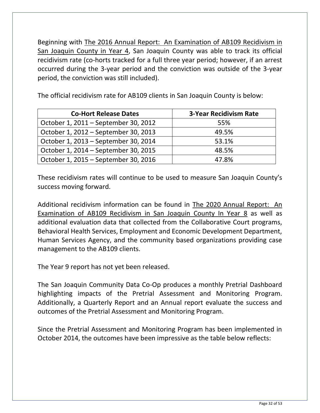Beginning with The 2016 Annual Report: An Examination of AB109 Recidivism in San Joaquin County in Year 4, San Joaquin County was able to track its official recidivism rate (co-horts tracked for a full three year period; however, if an arrest occurred during the 3-year period and the conviction was outside of the 3-year period, the conviction was still included).

The official recidivism rate for AB109 clients in San Joaquin County is below:

| <b>Co-Hort Release Dates</b>         | <b>3-Year Recidivism Rate</b> |
|--------------------------------------|-------------------------------|
| October 1, 2011 – September 30, 2012 | 55%                           |
| October 1, 2012 – September 30, 2013 | 49.5%                         |
| October 1, 2013 - September 30, 2014 | 53.1%                         |
| October 1, 2014 – September 30, 2015 | 48.5%                         |
| October 1, 2015 – September 30, 2016 | 47.8%                         |

These recidivism rates will continue to be used to measure San Joaquin County's success moving forward.

Additional recidivism information can be found in The 2020 Annual Report: An Examination of AB109 Recidivism in San Joaquin County In Year 8 as well as additional evaluation data that collected from the Collaborative Court programs, Behavioral Health Services, Employment and Economic Development Department, Human Services Agency, and the community based organizations providing case management to the AB109 clients.

The Year 9 report has not yet been released.

The San Joaquin Community Data Co-Op produces a monthly Pretrial Dashboard highlighting impacts of the Pretrial Assessment and Monitoring Program. Additionally, a Quarterly Report and an Annual report evaluate the success and outcomes of the Pretrial Assessment and Monitoring Program.

Since the Pretrial Assessment and Monitoring Program has been implemented in October 2014, the outcomes have been impressive as the table below reflects: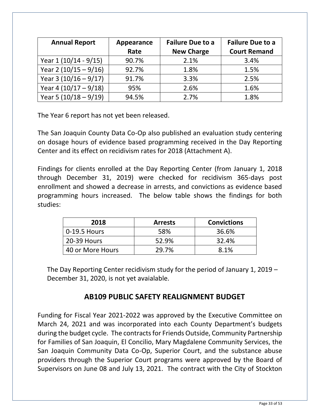| <b>Annual Report</b>    | Appearance | <b>Failure Due to a</b> | <b>Failure Due to a</b> |
|-------------------------|------------|-------------------------|-------------------------|
|                         | Rate       | <b>New Charge</b>       | <b>Court Remand</b>     |
| Year 1 (10/14 - 9/15)   | 90.7%      | 2.1%                    | 3.4%                    |
| Year 2 $(10/15 - 9/16)$ | 92.7%      | 1.8%                    | 1.5%                    |
| Year 3 $(10/16 - 9/17)$ | 91.7%      | 3.3%                    | 2.5%                    |
| Year 4 $(10/17 - 9/18)$ | 95%        | 2.6%                    | 1.6%                    |
| Year 5 $(10/18 - 9/19)$ | 94.5%      | 2.7%                    | 1.8%                    |

The Year 6 report has not yet been released.

The San Joaquin County Data Co-Op also published an evaluation study centering on dosage hours of evidence based programming received in the Day Reporting Center and its effect on recidivism rates for 2018 (Attachment A).

Findings for clients enrolled at the Day Reporting Center (from January 1, 2018 through December 31, 2019) were checked for recidivism 365-days post enrollment and showed a decrease in arrests, and convictions as evidence based programming hours increased. The below table shows the findings for both studies:

| 2018             | <b>Arrests</b> | <b>Convictions</b> |
|------------------|----------------|--------------------|
| 0-19.5 Hours     | 58%            | 36.6%              |
| 20-39 Hours      | 52.9%          | 32.4%              |
| 40 or More Hours | 29.7%          | 8.1%               |

The Day Reporting Center recidivism study for the period of January 1, 2019 – December 31, 2020, is not yet avaialable.

### **AB109 PUBLIC SAFETY REALIGNMENT BUDGET**

Funding for Fiscal Year 2021-2022 was approved by the Executive Committee on March 24, 2021 and was incorporated into each County Department's budgets during the budget cycle. The contracts for Friends Outside, Community Partnership for Families of San Joaquin, El Concilio, Mary Magdalene Community Services, the San Joaquin Community Data Co-Op, Superior Court, and the substance abuse providers through the Superior Court programs were approved by the Board of Supervisors on June 08 and July 13, 2021. The contract with the City of Stockton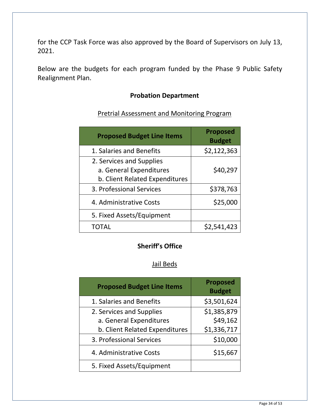for the CCP Task Force was also approved by the Board of Supervisors on July 13, 2021.

Below are the budgets for each program funded by the Phase 9 Public Safety Realignment Plan.

#### **Probation Department**

### Pretrial Assessment and Monitoring Program

| <b>Proposed Budget Line Items</b> | <b>Proposed</b><br><b>Budget</b> |
|-----------------------------------|----------------------------------|
| 1. Salaries and Benefits          | \$2,122,363                      |
| 2. Services and Supplies          |                                  |
| a. General Expenditures           | \$40,297                         |
| b. Client Related Expenditures    |                                  |
| 3. Professional Services          | \$378,763                        |
| 4. Administrative Costs           | \$25,000                         |
| 5. Fixed Assets/Equipment         |                                  |
|                                   | \$2,541,423                      |

#### **Sheriff's Office**

#### Jail Beds

| <b>Proposed Budget Line Items</b> | <b>Proposed</b><br><b>Budget</b> |
|-----------------------------------|----------------------------------|
| 1. Salaries and Benefits          | \$3,501,624                      |
| 2. Services and Supplies          | \$1,385,879                      |
| a. General Expenditures           | \$49,162                         |
| b. Client Related Expenditures    | \$1,336,717                      |
| 3. Professional Services          | \$10,000                         |
| 4. Administrative Costs           | \$15,667                         |
| 5. Fixed Assets/Equipment         |                                  |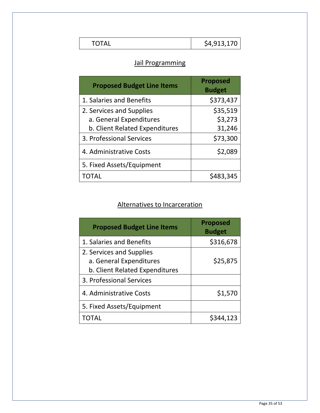|  | \$4 913 170<br>- .,- <del>.</del> -,-10 . |
|--|-------------------------------------------|
|--|-------------------------------------------|

 $\mathsf I$ 

### Jail Programming

| <b>Proposed Budget Line Items</b> | <b>Proposed</b><br><b>Budget</b> |
|-----------------------------------|----------------------------------|
| 1. Salaries and Benefits          | \$373,437                        |
| 2. Services and Supplies          | \$35,519                         |
| a. General Expenditures           | \$3,273                          |
| b. Client Related Expenditures    | 31,246                           |
| 3. Professional Services          | \$73,300                         |
| 4. Administrative Costs           | \$2,089                          |
| 5. Fixed Assets/Equipment         |                                  |
| TOTAL                             | \$483,345                        |

# Alternatives to Incarceration

| <b>Proposed Budget Line Items</b>                                                     | <b>Proposed</b><br><b>Budget</b> |
|---------------------------------------------------------------------------------------|----------------------------------|
| 1. Salaries and Benefits                                                              | \$316,678                        |
| 2. Services and Supplies<br>a. General Expenditures<br>b. Client Related Expenditures | \$25,875                         |
| 3. Professional Services                                                              |                                  |
| 4. Administrative Costs                                                               | \$1,570                          |
| 5. Fixed Assets/Equipment                                                             |                                  |
| $\mathsf{I}(\mathsf{I})$ $\mathsf{I}(\mathsf{A})$                                     | S344.123                         |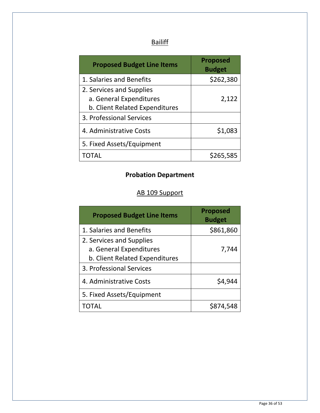# **Bailiff**

| <b>Proposed Budget Line Items</b> | <b>Proposed</b><br><b>Budget</b> |
|-----------------------------------|----------------------------------|
| 1. Salaries and Benefits          | \$262,380                        |
| 2. Services and Supplies          |                                  |
| a. General Expenditures           | 2,122                            |
| b. Client Related Expenditures    |                                  |
| 3. Professional Services          |                                  |
| 4. Administrative Costs           | \$1,083                          |
| 5. Fixed Assets/Equipment         |                                  |
|                                   | \$265,585                        |

# **Probation Department**

# AB 109 Support

| <b>Proposed Budget Line Items</b>                 | <b>Proposed</b><br><b>Budget</b> |
|---------------------------------------------------|----------------------------------|
| 1. Salaries and Benefits                          | \$861,860                        |
| 2. Services and Supplies                          |                                  |
| a. General Expenditures                           | 7,744                            |
| b. Client Related Expenditures                    |                                  |
| 3. Professional Services                          |                                  |
| 4. Administrative Costs                           | \$4,944                          |
| 5. Fixed Assets/Equipment                         |                                  |
| $\mathsf{I}(\mathsf{I})$ $\mathsf{I}(\mathsf{A})$ |                                  |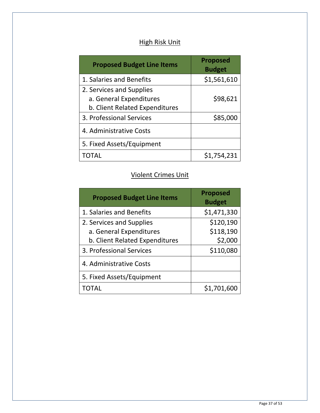### High Risk Unit

| <b>Proposed Budget Line Items</b> | <b>Proposed</b><br><b>Budget</b> |
|-----------------------------------|----------------------------------|
| 1. Salaries and Benefits          | \$1,561,610                      |
| 2. Services and Supplies          |                                  |
| a. General Expenditures           | \$98,621                         |
| b. Client Related Expenditures    |                                  |
| 3. Professional Services          | \$85,000                         |
| 4. Administrative Costs           |                                  |
| 5. Fixed Assets/Equipment         |                                  |
| TOTAL                             | \$1,754,231                      |

### Violent Crimes Unit

| <b>Proposed Budget Line Items</b> | <b>Proposed</b><br><b>Budget</b> |
|-----------------------------------|----------------------------------|
| 1. Salaries and Benefits          | \$1,471,330                      |
| 2. Services and Supplies          | \$120,190                        |
| a. General Expenditures           | \$118,190                        |
| b. Client Related Expenditures    | \$2,000                          |
| 3. Professional Services          | \$110,080                        |
| 4. Administrative Costs           |                                  |
| 5. Fixed Assets/Equipment         |                                  |
| TOTAL                             | \$1,701,600                      |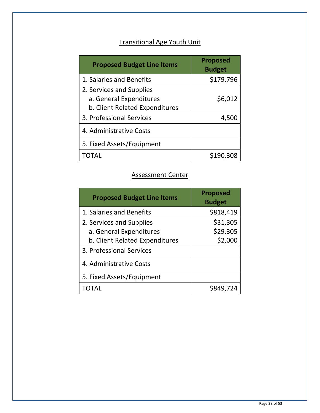# Transitional Age Youth Unit

| <b>Proposed Budget Line Items</b> | <b>Proposed</b><br><b>Budget</b> |
|-----------------------------------|----------------------------------|
| 1. Salaries and Benefits          | \$179,796                        |
| 2. Services and Supplies          |                                  |
| a. General Expenditures           | \$6,012                          |
| b. Client Related Expenditures    |                                  |
| 3. Professional Services          | 4,500                            |
| 4. Administrative Costs           |                                  |
| 5. Fixed Assets/Equipment         |                                  |
| TOTAL                             | \$190,308                        |

#### Assessment Center

| <b>Proposed Budget Line Items</b>                            | <b>Proposed</b><br><b>Budget</b> |
|--------------------------------------------------------------|----------------------------------|
| 1. Salaries and Benefits                                     | \$818,419                        |
| 2. Services and Supplies                                     | \$31,305                         |
| a. General Expenditures                                      | \$29,305                         |
| b. Client Related Expenditures                               | \$2,000                          |
| 3. Professional Services                                     |                                  |
| 4. Administrative Costs                                      |                                  |
| 5. Fixed Assets/Equipment                                    |                                  |
| $\mathsf{I}(\mathsf{I})$ $\mathsf{I}$ $\mathsf{A}\mathsf{I}$ | S849.724                         |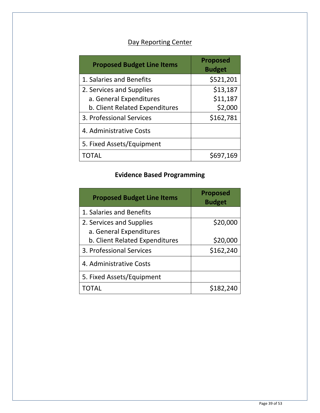# Day Reporting Center

| <b>Proposed Budget Line Items</b> | <b>Proposed</b><br><b>Budget</b> |
|-----------------------------------|----------------------------------|
| 1. Salaries and Benefits          | \$521,201                        |
| 2. Services and Supplies          | \$13,187                         |
| a. General Expenditures           | \$11,187                         |
| b. Client Related Expenditures    | \$2,000                          |
| 3. Professional Services          | \$162,781                        |
| 4. Administrative Costs           |                                  |
| 5. Fixed Assets/Equipment         |                                  |
| TOTAL                             | \$697,169                        |

# **Evidence Based Programming**

| <b>Proposed Budget Line Items</b>                            | <b>Proposed</b><br><b>Budget</b> |
|--------------------------------------------------------------|----------------------------------|
| 1. Salaries and Benefits                                     |                                  |
| 2. Services and Supplies                                     | \$20,000                         |
| a. General Expenditures                                      |                                  |
| b. Client Related Expenditures                               | \$20,000                         |
| 3. Professional Services                                     | \$162,240                        |
| 4. Administrative Costs                                      |                                  |
| 5. Fixed Assets/Equipment                                    |                                  |
| $\mathsf{I}(\mathsf{I})$ $\mathsf{I}$ $\mathsf{A}\mathsf{I}$ | \$182,240                        |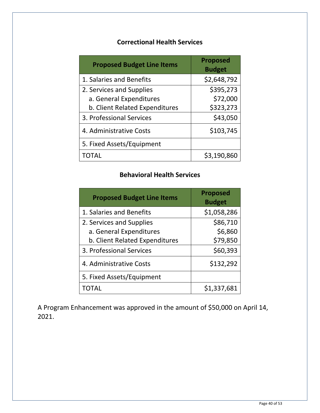### **Correctional Health Services**

| <b>Proposed Budget Line Items</b> | <b>Proposed</b><br><b>Budget</b> |
|-----------------------------------|----------------------------------|
| 1. Salaries and Benefits          | \$2,648,792                      |
| 2. Services and Supplies          | \$395,273                        |
| a. General Expenditures           | \$72,000                         |
| b. Client Related Expenditures    | \$323,273                        |
| 3. Professional Services          | \$43,050                         |
| 4. Administrative Costs           | \$103,745                        |
| 5. Fixed Assets/Equipment         |                                  |
| TOTAL                             | \$3,190,860                      |

### **Behavioral Health Services**

| <b>Proposed Budget Line Items</b> | <b>Proposed</b><br><b>Budget</b> |
|-----------------------------------|----------------------------------|
| 1. Salaries and Benefits          | \$1,058,286                      |
| 2. Services and Supplies          | \$86,710                         |
| a. General Expenditures           | \$6,860                          |
| b. Client Related Expenditures    | \$79,850                         |
| 3. Professional Services          | \$60,393                         |
| 4. Administrative Costs           | \$132,292                        |
| 5. Fixed Assets/Equipment         |                                  |
|                                   | \$1,337,681                      |

A Program Enhancement was approved in the amount of \$50,000 on April 14, 2021.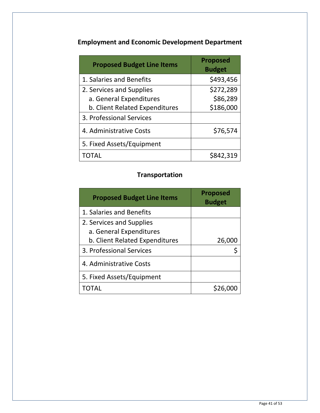# **Employment and Economic Development Department**

| <b>Proposed Budget Line Items</b> | <b>Proposed</b><br><b>Budget</b> |
|-----------------------------------|----------------------------------|
| 1. Salaries and Benefits          | \$493,456                        |
| 2. Services and Supplies          | \$272,289                        |
| a. General Expenditures           | \$86,289                         |
| b. Client Related Expenditures    | \$186,000                        |
| 3. Professional Services          |                                  |
| 4. Administrative Costs           | \$76,574                         |
| 5. Fixed Assets/Equipment         |                                  |
| TOTAL                             | \$842,319                        |

# **Transportation**

| <b>Proposed Budget Line Items</b> | <b>Proposed</b><br><b>Budget</b> |
|-----------------------------------|----------------------------------|
| 1. Salaries and Benefits          |                                  |
| 2. Services and Supplies          |                                  |
| a. General Expenditures           |                                  |
| b. Client Related Expenditures    | 26,000                           |
| 3. Professional Services          |                                  |
| 4. Administrative Costs           |                                  |
| 5. Fixed Assets/Equipment         |                                  |
|                                   |                                  |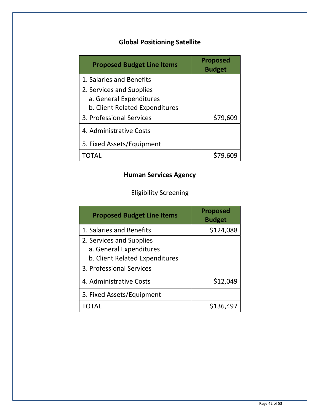# **Global Positioning Satellite**

| <b>Proposed Budget Line Items</b> | <b>Proposed</b><br><b>Budget</b> |
|-----------------------------------|----------------------------------|
| 1. Salaries and Benefits          |                                  |
| 2. Services and Supplies          |                                  |
| a. General Expenditures           |                                  |
| b. Client Related Expenditures    |                                  |
| 3. Professional Services          | \$79,609                         |
| 4. Administrative Costs           |                                  |
| 5. Fixed Assets/Equipment         |                                  |
|                                   |                                  |

# **Human Services Agency**

# Eligibility Screening

| <b>Proposed Budget Line Items</b> | <b>Proposed</b><br><b>Budget</b> |
|-----------------------------------|----------------------------------|
| 1. Salaries and Benefits          | \$124,088                        |
| 2. Services and Supplies          |                                  |
| a. General Expenditures           |                                  |
| b. Client Related Expenditures    |                                  |
| 3. Professional Services          |                                  |
| 4. Administrative Costs           | \$12,049                         |
| 5. Fixed Assets/Equipment         |                                  |
| TOTAL                             | \$136,497                        |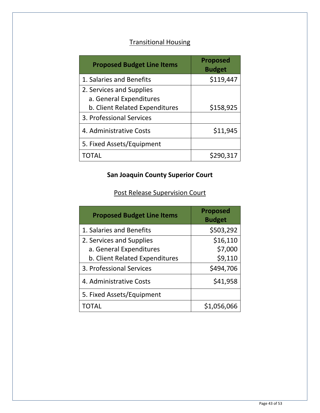# Transitional Housing

| <b>Proposed Budget Line Items</b> | <b>Proposed</b><br><b>Budget</b> |
|-----------------------------------|----------------------------------|
| 1. Salaries and Benefits          | \$119,447                        |
| 2. Services and Supplies          |                                  |
| a. General Expenditures           |                                  |
| b. Client Related Expenditures    | \$158,925                        |
| 3. Professional Services          |                                  |
| 4. Administrative Costs           | \$11,945                         |
| 5. Fixed Assets/Equipment         |                                  |
| TO TAI                            | \$290,317                        |

# **San Joaquin County Superior Court**

# Post Release Supervision Court

| <b>Proposed Budget Line Items</b> | <b>Proposed</b><br><b>Budget</b> |
|-----------------------------------|----------------------------------|
| 1. Salaries and Benefits          | \$503,292                        |
| 2. Services and Supplies          | \$16,110                         |
| a. General Expenditures           | \$7,000                          |
| b. Client Related Expenditures    | \$9,110                          |
| 3. Professional Services          | \$494,706                        |
| 4. Administrative Costs           | \$41,958                         |
| 5. Fixed Assets/Equipment         |                                  |
| ΤΩΤΑΙ                             | \$1,056,066                      |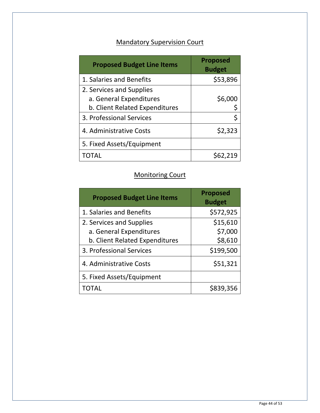# Mandatory Supervision Court

| <b>Proposed Budget Line Items</b> | <b>Proposed</b><br><b>Budget</b> |
|-----------------------------------|----------------------------------|
| 1. Salaries and Benefits          | \$53,896                         |
| 2. Services and Supplies          |                                  |
| a. General Expenditures           | \$6,000                          |
| b. Client Related Expenditures    |                                  |
| 3. Professional Services          | \$                               |
| 4. Administrative Costs           | \$2,323                          |
| 5. Fixed Assets/Equipment         |                                  |
| TOTAL                             |                                  |

### Monitoring Court

| <b>Proposed Budget Line Items</b> | <b>Proposed</b><br><b>Budget</b> |
|-----------------------------------|----------------------------------|
| 1. Salaries and Benefits          | \$572,925                        |
| 2. Services and Supplies          | \$15,610                         |
| a. General Expenditures           | \$7,000                          |
| b. Client Related Expenditures    | \$8,610                          |
| 3. Professional Services          | \$199,500                        |
| 4. Administrative Costs           | \$51,321                         |
| 5. Fixed Assets/Equipment         |                                  |
| TOTAL                             | \$839,356                        |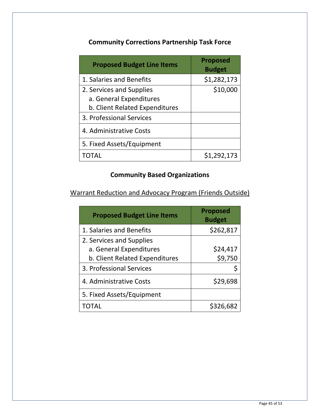### **Community Corrections Partnership Task Force**

| <b>Proposed Budget Line Items</b> | <b>Proposed</b><br><b>Budget</b> |
|-----------------------------------|----------------------------------|
| 1. Salaries and Benefits          | \$1,282,173                      |
| 2. Services and Supplies          | \$10,000                         |
| a. General Expenditures           |                                  |
| b. Client Related Expenditures    |                                  |
| 3. Professional Services          |                                  |
| 4. Administrative Costs           |                                  |
| 5. Fixed Assets/Equipment         |                                  |
| TOTAL                             | \$1,292,173                      |

# **Community Based Organizations**

Warrant Reduction and Advocacy Program (Friends Outside)

| <b>Proposed Budget Line Items</b> | <b>Proposed</b><br><b>Budget</b> |
|-----------------------------------|----------------------------------|
| 1. Salaries and Benefits          | \$262,817                        |
| 2. Services and Supplies          |                                  |
| a. General Expenditures           | \$24,417                         |
| b. Client Related Expenditures    | \$9,750                          |
| 3. Professional Services          |                                  |
| 4. Administrative Costs           | \$29,698                         |
| 5. Fixed Assets/Equipment         |                                  |
| TOTAL                             | \$326,682                        |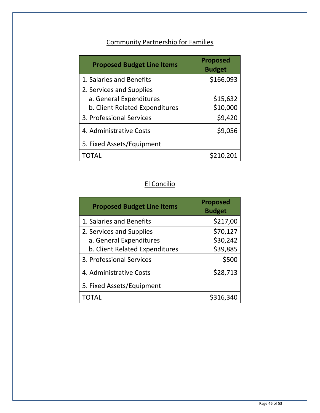# Community Partnership for Families

| <b>Proposed Budget Line Items</b> | <b>Proposed</b><br><b>Budget</b> |
|-----------------------------------|----------------------------------|
| 1. Salaries and Benefits          | \$166,093                        |
| 2. Services and Supplies          |                                  |
| a. General Expenditures           | \$15,632                         |
| b. Client Related Expenditures    | \$10,000                         |
| 3. Professional Services          | \$9,420                          |
| 4. Administrative Costs           | \$9,056                          |
| 5. Fixed Assets/Equipment         |                                  |
| ΤΩΤΑΙ                             | 210,201                          |

# El Concilio

| <b>Proposed Budget Line Items</b> | <b>Proposed</b><br><b>Budget</b> |
|-----------------------------------|----------------------------------|
| 1. Salaries and Benefits          | \$217,00                         |
| 2. Services and Supplies          | \$70,127                         |
| a. General Expenditures           | \$30,242                         |
| b. Client Related Expenditures    | \$39,885                         |
| 3. Professional Services          | \$500                            |
| 4. Administrative Costs           | \$28,713                         |
| 5. Fixed Assets/Equipment         |                                  |
|                                   | \$316,340                        |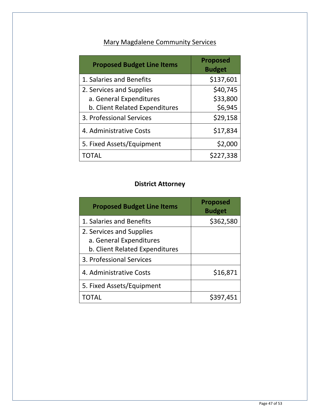# Mary Magdalene Community Services

| <b>Proposed Budget Line Items</b> | <b>Proposed</b><br><b>Budget</b> |
|-----------------------------------|----------------------------------|
| 1. Salaries and Benefits          | \$137,601                        |
| 2. Services and Supplies          | \$40,745                         |
| a. General Expenditures           | \$33,800                         |
| b. Client Related Expenditures    | \$6,945                          |
| 3. Professional Services          | \$29,158                         |
| 4. Administrative Costs           | \$17,834                         |
| 5. Fixed Assets/Equipment         | \$2,000                          |
| TOTAL                             | \$227,338                        |

### **District Attorney**

| <b>Proposed Budget Line Items</b> | <b>Proposed</b><br><b>Budget</b> |
|-----------------------------------|----------------------------------|
| 1. Salaries and Benefits          | \$362,580                        |
| 2. Services and Supplies          |                                  |
| a. General Expenditures           |                                  |
| b. Client Related Expenditures    |                                  |
| 3. Professional Services          |                                  |
| 4. Administrative Costs           | \$16,871                         |
| 5. Fixed Assets/Equipment         |                                  |
|                                   | \$397,451                        |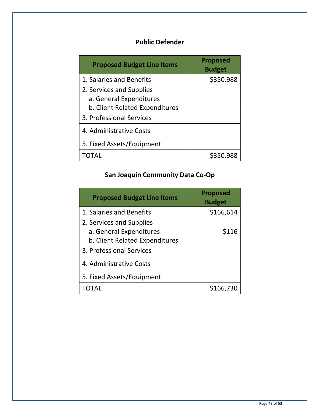# **Public Defender**

| <b>Proposed Budget Line Items</b> | <b>Proposed</b><br><b>Budget</b> |
|-----------------------------------|----------------------------------|
| 1. Salaries and Benefits          | \$350,988                        |
| 2. Services and Supplies          |                                  |
| a. General Expenditures           |                                  |
| b. Client Related Expenditures    |                                  |
| 3. Professional Services          |                                  |
| 4. Administrative Costs           |                                  |
| 5. Fixed Assets/Equipment         |                                  |
|                                   | \$350,988                        |

# **San Joaquin Community Data Co-Op**

| <b>Proposed Budget Line Items</b>                                                     | <b>Proposed</b><br><b>Budget</b> |
|---------------------------------------------------------------------------------------|----------------------------------|
| 1. Salaries and Benefits                                                              | \$166,614                        |
| 2. Services and Supplies<br>a. General Expenditures<br>b. Client Related Expenditures | \$116                            |
| 3. Professional Services                                                              |                                  |
| 4. Administrative Costs                                                               |                                  |
| 5. Fixed Assets/Equipment                                                             |                                  |
|                                                                                       | \$166,730                        |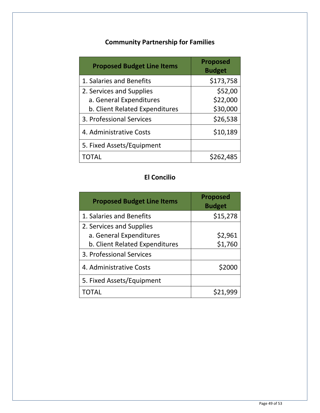# **Community Partnership for Families**

| <b>Proposed Budget Line Items</b> | <b>Proposed</b><br><b>Budget</b> |
|-----------------------------------|----------------------------------|
| 1. Salaries and Benefits          | \$173,758                        |
| 2. Services and Supplies          | \$52,00                          |
| a. General Expenditures           | \$22,000                         |
| b. Client Related Expenditures    | \$30,000                         |
| 3. Professional Services          | \$26,538                         |
| 4. Administrative Costs           | \$10,189                         |
| 5. Fixed Assets/Equipment         |                                  |
| TOTAL                             | \$262,485                        |

# **El Concilio**

| <b>Proposed Budget Line Items</b> | <b>Proposed</b><br><b>Budget</b> |
|-----------------------------------|----------------------------------|
| 1. Salaries and Benefits          | \$15,278                         |
| 2. Services and Supplies          |                                  |
| a. General Expenditures           | \$2,961                          |
| b. Client Related Expenditures    | \$1,760                          |
| 3. Professional Services          |                                  |
| 4. Administrative Costs           | \$2000                           |
| 5. Fixed Assets/Equipment         |                                  |
| TOTAL                             | \$21,999                         |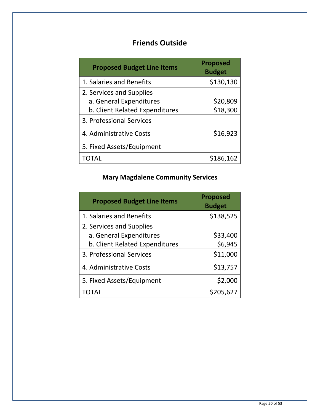# **Friends Outside**

| <b>Proposed Budget Line Items</b> | <b>Proposed</b><br><b>Budget</b> |
|-----------------------------------|----------------------------------|
| 1. Salaries and Benefits          | \$130,130                        |
| 2. Services and Supplies          |                                  |
| a. General Expenditures           | \$20,809                         |
| b. Client Related Expenditures    | \$18,300                         |
| 3. Professional Services          |                                  |
| 4. Administrative Costs           | \$16,923                         |
| 5. Fixed Assets/Equipment         |                                  |
| TOTAL                             | \$186,162                        |

# **Mary Magdalene Community Services**

| <b>Proposed Budget Line Items</b> | <b>Proposed</b><br><b>Budget</b> |
|-----------------------------------|----------------------------------|
| 1. Salaries and Benefits          | \$138,525                        |
| 2. Services and Supplies          |                                  |
| a. General Expenditures           | \$33,400                         |
| b. Client Related Expenditures    | \$6,945                          |
| 3. Professional Services          | \$11,000                         |
| 4. Administrative Costs           | \$13,757                         |
| 5. Fixed Assets/Equipment         | \$2,000                          |
| TOTAL                             | \$205,627                        |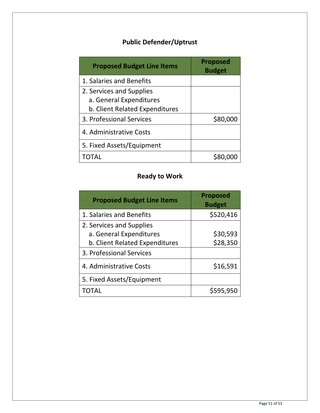# **Public Defender/Uptrust**

| <b>Proposed Budget Line Items</b> | <b>Proposed</b><br><b>Budget</b> |
|-----------------------------------|----------------------------------|
| 1. Salaries and Benefits          |                                  |
| 2. Services and Supplies          |                                  |
| a. General Expenditures           |                                  |
| b. Client Related Expenditures    |                                  |
| 3. Professional Services          | \$80,000                         |
| 4. Administrative Costs           |                                  |
| 5. Fixed Assets/Equipment         |                                  |
|                                   |                                  |

# **Ready to Work**

| <b>Proposed Budget Line Items</b> | <b>Proposed</b><br><b>Budget</b> |
|-----------------------------------|----------------------------------|
| 1. Salaries and Benefits          | \$520,416                        |
| 2. Services and Supplies          |                                  |
| a. General Expenditures           | \$30,593                         |
| b. Client Related Expenditures    | \$28,350                         |
| 3. Professional Services          |                                  |
| 4. Administrative Costs           | \$16,591                         |
| 5. Fixed Assets/Equipment         |                                  |
| TOTAL                             | \$595,950                        |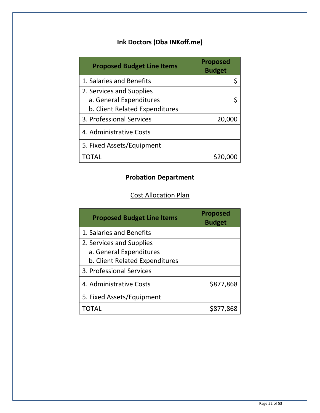# **Ink Doctors (Dba INKoff.me)**

| <b>Proposed Budget Line Items</b> | <b>Proposed</b><br><b>Budget</b> |
|-----------------------------------|----------------------------------|
| 1. Salaries and Benefits          | \$                               |
| 2. Services and Supplies          |                                  |
| a. General Expenditures           | Ś                                |
| b. Client Related Expenditures    |                                  |
| 3. Professional Services          | 20,000                           |
| 4. Administrative Costs           |                                  |
| 5. Fixed Assets/Equipment         |                                  |
|                                   |                                  |

# **Probation Department**

# Cost Allocation Plan

| <b>Proposed Budget Line Items</b> | <b>Proposed</b><br><b>Budget</b> |
|-----------------------------------|----------------------------------|
| 1. Salaries and Benefits          |                                  |
| 2. Services and Supplies          |                                  |
| a. General Expenditures           |                                  |
| b. Client Related Expenditures    |                                  |
| 3. Professional Services          |                                  |
| 4. Administrative Costs           | \$877,868                        |
| 5. Fixed Assets/Equipment         |                                  |
|                                   | \$877,868                        |